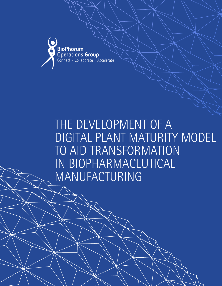

## THE DEVELOPMENT OF A DIGITAL PLANT MATURITY MODEL TO AID TRANSFORMATION IN BIOPHARMACEUTICAL MANUFACTURING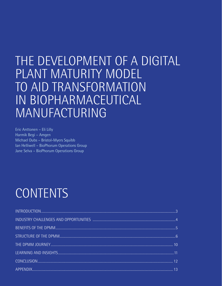## THE DEVELOPMENT OF A DIGITAL PLANT MATURITY MODEL TO AID TRANSFORMATION IN BIOPHARMACEUTICAL MANUFACTURING

Eric Anttonen - Eli Lilly Harmik Begi - Amgen Michael Dubs - Bristol-Myers Squibb Ian Helliwell - BioPhorum Operations Group Jane Selva - BioPhorum Operations Group

# CONTENTS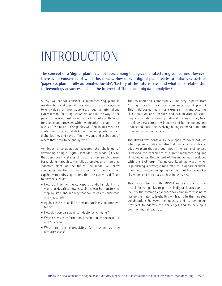## INTRODUCTION

**The concept of a 'digital plant' is a hot topic among biologics manufacturing companies. However, there is no consensus of what this means. How does a digital plant relate to initiatives such as 'paperless plant', 'fully automated facility', 'factory of the future', etc., and what is its relationship to technology advances such as the Internet of Things and big data analytics?**

Surely, we cannot consider a manufacturing plant in isolation but need to see it in its context of a seamless, endto-end value chain from suppliers, through an internal and external manufacturing ecosystem, and all the way to the patient. This is not just about technology but also the need for people and processes within companies to adapt to the needs of the market. Companies will find themselves on a continuum, they are at different starting points on their digital journey and have different visions and aspirations of where they need to be and by when.

An industry collaboration accepted the challenge of developing a single 'Digital Plant Maturity Model' (DPMM) that describes the stages of maturity from simple paperbased plants through to the fully automated and integrated 'adaptive plant' of the future. The model will allow companies wanting to transform their manufacturing capability to address questions that are currently difficult to answer, such as:

- How do I define the concept of a digital plant in a way that describes how capabilities can be transformed step-by-step, and in a way that can be easily understood and measured?
- Against these capabilities, how mature is my environment today?
- How do I compare against industry benchmarks?
- What are my transformational aspirations in the next 3, 5 and 10 years?
- What are the prerequisites for moving up the maturity levels?

The collaboration comprised 20 industry experts from 11 major biopharmaceutical companies (see Appendix). This multifaceted team has expertise in manufacturing, IT, automation and analytics and is a mixture of senior engineers, strategists and operational managers. They have a unique view across the industry and its technology and understand both the evolving biologics market and the innovations that will enable it.

The DPMM was consciously developed to cover not just what is possible today, but also to define an advanced-level adaptive plant that, although not in the realms of fantasy, is beyond the capabilities of current manufacturing and IT technologies. The content of this model was developed with the BioPhorum Technology Roadmap work (which is publishing a strategic road map for biopharmaceutical manufacturing technology) as well as input from some key IT vendors and initiatives such as Industry 4.0.

This paper introduces the DPMM and its use – both as a tool for companies to plot their digital journey and to identify the common challenges for companies wishing to rise up the maturity levels. This will lead to further targeted collaborations between the industry and its technology providers to address the challenges and to develop a common digital roadmap.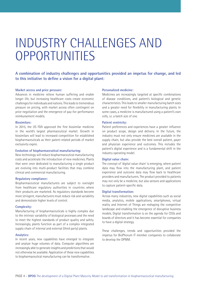## INDUSTRY CHALLENGES AND OPPORTUNITIES

**A combination of industry challenges and opportunities provided an impetus for change, and led to this initiative to define a vision for a digital plant:**

#### **Market access and price pressure:**

Advances in medicine relieve human suffering and enable longer life, but increasing healthcare costs create economic challenges for individuals and nations. This leads to tremendous pressure on pricing, with market access often contingent on price negotiation and the emergence of pay-for-performance reimbursement models.

#### **Biosimilars:**

In 2015, the US FDA approved the first biosimilar medicine in the world's largest pharmaceutical market. Growth in biosimilars will lead to increased competition for established biopharmaceuticals as their patent-related periods of market exclusivity expire.

#### **Evolution of biopharmaceutical manufacturing:**

New technology will reduce biopharmaceutical manufacturing costs and accelerate the introduction of new medicines. Plants that were once dedicated to manufacturing a single product are evolving into multi-product facilities that may combine clinical and commercial manufacturing.

#### **Regulatory compliance:**

Biopharmaceutical manufacturers are subject to oversight from healthcare regulatory authorities in countries where their products are marketed. As regulatory standards become more stringent, manufacturers must reduce risk and variability and demonstrate higher levels of control.

#### **Complexity:**

Manufacturing of biopharmaceuticals is highly complex due to the intrinsic variability of biological processes and the need to meet the highest standards of product quality and safety. Increasingly, plants function as part of a complex integrated supply chain of internal and external (third party) plants.

#### **Analytics:**

In recent years, new capabilities have emerged to integrate and analyze huge volumes of data. Computer algorithms are increasingly able to generate insights and predictions that would not otherwise be available. Application of these new capabilities to biopharmaceutical manufacturing can be transformative.

#### **Personalized medicine:**

Medicines are increasingly targeted at specific combinations of disease conditions, and patient's biological and genetic characteristics. This leads to smaller manufacturing batch sizes and a greater need for flexibility in manufacturing plants. In some cases, a medicine is manufactured using a patient's own cells, i.e. a batch size of one.

### **Patient centricity:**

Patient preferences and experiences have a greater influence on product scope, design and delivery. In the future, the industry must not only ensure medicines are available in the supply chain, but also provide the best overall patient, payer and physician experience and outcomes. This includes the patient's digital experience and is a fundamental shift in the industry operating model.

#### **Digital value chain:**

The concept of 'digital value chain' is emerging, where patient data may flow into the manufacturing plant, and patient experience and outcome data may flow back to healthcare providers and manufacturers. The product provided to patients may not only be a medicine, but also sensors and applications to capture patient-specific data.

#### **Digital transformation:**

Across many industries, new digital capabilities such as social media, analytics, mobile applications, smartphones, virtual reality and Internet of Things are reshaping the competitive landscape and enabling the emergence of disruptive business models. Digital transformation is on the agenda for CEOs and boards of directors and it has become essential for companies to have a digital strategy.

These challenges, trends and opportunities provided the impetus for BioPhorum IT member companies to collaborate to develop the DPMM.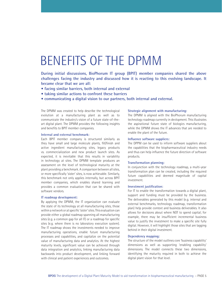## BENEFITS OF THE DPMM

**During initial discussions, BioPhorum IT group (BPIT) member companies shared the above challenges facing the industry and discussed how it is reacting to this evolving landscape. It became clear that we are all:**

- **facing similar barriers, both internal and external**
- **taking similar actions to confront these barriers**
- **communicating a digital vision to our partners, both internal and external.**

The DPMM was created to help describe the technological evolution at a manufacturing plant as well as to communicate the industry's vision of a future state-of-theart digital plant. The DPMM provides the following insights and benefits to BPIT member companies.

#### **Internal and external benchmark:**

Each BPIT member company is structured similarly as they have small and large molecule plants, fill/finish and active ingredient manufacturing sites, legacy products vs. commercialization and new product launch sites. As expected, it is inevitable that this results in variability in technology at sites. The DPMM template produces an assessment on the level of technological maturity at the plant providing a benchmark. A comparison between all sites, or more specifically 'sister' sites, is now achievable. Similarly, this benchmark not only applies internally, but across BPIT member companies, which enables shared learning and provides a common evaluation that can be shared with software vendors.

#### **IT roadmap development:**

By applying the DPMM, the IT organization can evaluate the state of its technology at all manufacturing sites, those within a network or at specific 'sister' sites. This evaluation can provide either a global roadmap spanning all manufacturing sites (e.g. a common gap for all IT) or a roadmap for specific sites (e.g. where there is no laboratory execution system). The IT roadmap shows the investments needed to improve manufacturing operations, enable future manufacturing processes and capabilities, and capitalize on the potential value of manufacturing data and analytics. At the highest maturity levels, significant value can be achieved through data integration and analytics, linking manufacturing data backwards into product development, and linking forward with clinical and patient experiences and outcomes.

#### **Strategic alignment with manufacturing:**

The DPMM is aligned with the BioPhorum manufacturing technology roadmap currently in devlopment. This illustrates the aspirational future state of biologics manufacturing, while the DPMM shows the IT advances that are needed to enable the plant of the future.

#### **Influence software suppliers:**

The DPPM can be used to inform software suppliers about the capabilities that the biopharmaceutical industry needs and thus can help influence the future direction of software products.

#### **Transformation planning:**

In conjunction with the technology roadmap, a multi-year transformation plan can be created, including the required future capabilities and deemed magnitude of capital investment.

#### **Investment justification:**

For IT to enable the transformation towards a digital plant, support and funding must be provided by the business. The deliverables generated by this model (e.g. internal and external benchmarks, technology roadmap, transformation plan) help provide context and business deliverables. It also allows for decisions about where NOT to spend capital; for example, there may be insufficient incremental business value to justify the investment to make a specific site fully digital. However, it will highlight those sites that are lagging behind in their digital investment.

#### **Dependency mapping:**

The structure of the model outlines core 'business capability' dimensions as well as supporting 'enabling capability' dimensions. The model connects these two dimensions, identifying the maturity required in both to achieve the digital plant vision for that level.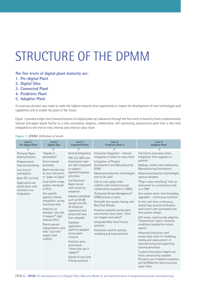# STRUCTURE OF THE DPMM

## **The five levels of digital plant maturity are:**

- **1. Pre-digital Plant**
- **2. Digital Silos**
- **3. Connected Plant**
- **4. Predictive Plant**
- **5. Adaptive Plant**

A conscious decision was made to make the highest maturity level aspirational to inspire the development of new technologies and capabilities and to enable the plant of the future.

Figure 1 provides a high-level characterization of a digital plant as it advances through the five levels of maturity from a predominately manual and paper-based facility to a fully automated, adaptive, collaborative, self-optimizing, autonomous plant that is also fully integrated to the end-to-end, internal and external value chain.

### **Figure 1:** *DPMM: Definition of levels*

| Level 1                                                                                                                                                                                                   | Level 2                                                                                                                                                                                                                                                                                                                                                                                                                             | Level 3                                                                                                                                                                                                                                                                                                                                                                                                                                                                                                                                       | Level 4                                                                                                                                                                                                                                                                                                                                                                                                                                                                                                                                                                                                                                      | Level 5                                                                                                                                                                                                                                                                                                                                                                                                                                                                                                                                                                                                                                                                                                                                                                                                                                                                                                                                     |
|-----------------------------------------------------------------------------------------------------------------------------------------------------------------------------------------------------------|-------------------------------------------------------------------------------------------------------------------------------------------------------------------------------------------------------------------------------------------------------------------------------------------------------------------------------------------------------------------------------------------------------------------------------------|-----------------------------------------------------------------------------------------------------------------------------------------------------------------------------------------------------------------------------------------------------------------------------------------------------------------------------------------------------------------------------------------------------------------------------------------------------------------------------------------------------------------------------------------------|----------------------------------------------------------------------------------------------------------------------------------------------------------------------------------------------------------------------------------------------------------------------------------------------------------------------------------------------------------------------------------------------------------------------------------------------------------------------------------------------------------------------------------------------------------------------------------------------------------------------------------------------|---------------------------------------------------------------------------------------------------------------------------------------------------------------------------------------------------------------------------------------------------------------------------------------------------------------------------------------------------------------------------------------------------------------------------------------------------------------------------------------------------------------------------------------------------------------------------------------------------------------------------------------------------------------------------------------------------------------------------------------------------------------------------------------------------------------------------------------------------------------------------------------------------------------------------------------------|
| Pre-digital Plant                                                                                                                                                                                         | <b>Digital Silos</b>                                                                                                                                                                                                                                                                                                                                                                                                                | <b>Connected Plant</b>                                                                                                                                                                                                                                                                                                                                                                                                                                                                                                                        | <b>Predictive Plant 4</b>                                                                                                                                                                                                                                                                                                                                                                                                                                                                                                                                                                                                                    | <b>Adaptive Plant</b>                                                                                                                                                                                                                                                                                                                                                                                                                                                                                                                                                                                                                                                                                                                                                                                                                                                                                                                       |
| Primarily Paper-<br>based processes<br>Predominately<br>manual processing.<br>Low level of<br>automation.<br>Basic PLC controls.<br>Applications are<br>stand-alone with<br>minimal or no<br>integration. | "Islands of<br>automation"<br>Some manual<br>processes.<br>Batch records may<br>be semi-electronic<br>or "paper on glass"<br>Local batch-recipe<br>system interfaced<br>to PLCs<br>Site-specific<br>systems; limited<br>integration across<br>functional silos<br>Analytics on<br>demand, "why did<br>it happen?" high<br>manual effort<br>Plants operate<br>independently with<br>little "real-time"<br>supply chain<br>visibility | Vertical Integration<br>ERP, LES, MES and<br>Automation layer<br>are fully integrated<br>to support<br>digitized business<br>processes.<br><b>Full Electronic</b><br>Batch record<br>with review by<br>exception.<br>Industry standards<br>such as ISA 88<br>(recipe) and ISA<br>95 (material,<br>equipment and<br>personnel) have<br>been adopted.<br>Standard<br>application<br>platform adopted<br>across plant<br>network<br>Analytics semi-<br>automated;<br>"where else can it<br>happen?"<br>Islands of real-time<br>Process analytics | Enterprise Integration - internal<br>integration of plant to value chain<br>Integration of Product<br>Development and Manufacturing<br>(PLM)<br>Advanced production technologies<br>start to be used<br>End-to-end supply chain<br>visibility with limited external<br>collaborations (suppliers / CMOs).<br>"Enterprise Recipe Management"<br>(ERM) process in place.<br>Online/At-line quality testing with<br>Real Time Release.<br>Proactive analytics across plant<br>and internal value chain; "what<br>can happen and when?"<br>Integrated Real-time Process<br>analytics<br>Simulation used for process<br>modeling and improvements | Full end-to-end value-chain<br>integration from suppliers to<br>patients<br>Modular, mobile and collaborative<br>Manufacturing Environment<br>Advanced production technologies<br>used as standard.<br>"Plug-n-play everything" from an<br>instrument to a production scale<br>or a CMO<br>Zero system down-time (including<br>upgrades) - continuous evolution.<br>In-line, real-time, continuous,<br>closed loop, process verification<br>and control with automated real-<br>time quality release<br>Self-aware, continuously adaptive,<br>"Autonomous" plant; exception<br>conditions handled by remote<br>experts<br>Advanced simulation used<br>across value chain for modeling,<br>testing and improvement of<br>manufacturing and supporting<br>business processes<br>Trusted information insights are<br>freely and securely available.<br>Pervasive use of adaptive analytics<br>and Self/Machine learning across<br>value chain. |

### PAGE 6 – **BPOG** The development of a Digital Plant Maturity Model to aid transformation in biopharmaceutical manufacturing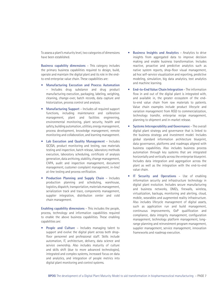To assess a plant's maturity level, two categories of dimensions have been established.

**Business capability dimensions** – This category includes the primary business capabilities required to design, build, operate and maintain the digital plant and its role in the endto-end enterprise value chain. These capabilities are:

- **• Manufacturing Execution and Process Automation** – Includes drug substance and drug product manufacturing execution, packaging, labeling, weighing, cleaning, change-over, batch records, data capture and historization, process control and analysis.
- **• Manufacturing Support** Includes all required support functions, including maintenance and calibration management, plant and facilities engineering, environmental monitoring, plant security, health and safety, building automation, utilities, energy management, process development, knowledge management, remote monitoring and collaboration, and learning management.
- **• Lab Execution and Quality Management** Includes QC/QA, product monitoring and testing, raw materials testing and inspection, batch release, laboratory methods execution, laboratory scheduling, certificate of analysis generation, data archiving, stability, change management, CAPA, audit and inspection management, document management, customer complaint management, in-line/ at-line testing and process verification.
- **• Production Planning and Supply Chain** Includes production planning and scheduling, warehouse, logistics, dispatch, transportation, materials management, serialization track and trace, components management, supplier integration, distribution center and cold chain management.

**Enabling capability dimensions** – This includes the people, process, technology and information capabilities required to enable the above business capabilities. These enabling capabilities are:

**People and Culture** – Includes managing talent to support and evolve the digital plant across both shopfloor personnel and professional staff. Skills include automation, IT, architecture, delivery, data science and service ownership. Also includes maturity of culture and skills shift (due to more advanced technologies), integrated and complex systems, increased focus on data and analytics, and integration of people metrics into digital plant monitoring and control systems.

- **• Business Insights and Analytics** Analytics to drive insights from aggregated data to improve decision making and enable business transformation. Includes reactive, proactive and predictive analytics such as native system reports, shop-floor visual management, ad hoc self-service visualization and reporting, predictive modeling, simulation, big data analytics, text analytics and machine learning.
- **• End-to-End Value Chain Integration** The information flow in and out of the digital plant is integrated with, and available in, the greater ecosystem of the endto-end value chain from raw materials to patients. Value chain examples include product lifecycle and variation management from R&D to commercialization, technology transfer, enterprise recipe management, planning to shipment and in-market release.
- **• Systems Interoperability and Governance** The overall digital plant strategy and governance that is linked to the business strategy and investment model. Includes global standard information architecture blueprint, data governance, platforms and roadmaps aligned with business capabilities. Also includes business process automation through key systems that are integrated horizontally and vertically across the enterprise blueprint. Includes data integration and aggregation across the plant as well as the integration with the end-to-end value chain.
- **IT Security and Operations Use of enabling** information security and infrastructure technology in digital plant evolution. Includes secure manufacturing and business networks, DMZs, firewalls, wireless, virtualization, backups, monitoring and alerting, cloud, mobile, wearables and augmented reality infrastructure. Also includes lifecycle management of digital assets, such as application run and build management, continuous improvements, GxP qualification and compliance, data integrity management, configuration management, technology platform management, longrange planning and reinvestment program management, supplier management, service management, innovation frameworks and roadmap execution.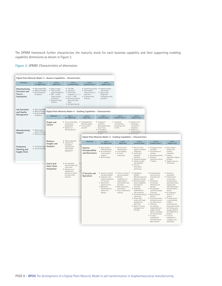The DPMM framework further characterizes the maturity levels for each business capability and their supporting enabling capability dimensions as shown in Figure 2.



| Dimension                                                      | Level 1<br>Pre-digital Plant                                               | Level 2<br><b>Digital Silos</b>                                                                                                                    | Level 3<br><b>Connected Plant</b>                                                                                                                                                   |           | Level 4<br><b>Predictive Plant 4</b>                                                                       | Level 5<br><b>Adaptive Plant</b>                                                                                                                                                                            |                                                                                                                                                                                                            |                                                                                                                                                                                                                                                                                                                                                                                          |                                                                                                                                                                                                                                                                                                                                                                                                                                                           |                                                                                                                                                                                                                                                                                                                                                                                                                                                            |
|----------------------------------------------------------------|----------------------------------------------------------------------------|----------------------------------------------------------------------------------------------------------------------------------------------------|-------------------------------------------------------------------------------------------------------------------------------------------------------------------------------------|-----------|------------------------------------------------------------------------------------------------------------|-------------------------------------------------------------------------------------------------------------------------------------------------------------------------------------------------------------|------------------------------------------------------------------------------------------------------------------------------------------------------------------------------------------------------------|------------------------------------------------------------------------------------------------------------------------------------------------------------------------------------------------------------------------------------------------------------------------------------------------------------------------------------------------------------------------------------------|-----------------------------------------------------------------------------------------------------------------------------------------------------------------------------------------------------------------------------------------------------------------------------------------------------------------------------------------------------------------------------------------------------------------------------------------------------------|------------------------------------------------------------------------------------------------------------------------------------------------------------------------------------------------------------------------------------------------------------------------------------------------------------------------------------------------------------------------------------------------------------------------------------------------------------|
| Manufacturing<br><b>Execution and</b><br>Process<br>Automation | • Paper-based Mfg<br>· Manual Processes<br>• No Automation/<br>Integration | • Paper on glass<br>• Point to point<br>system integration<br>$•$ Mfc - "4 eyes"<br>double manual<br>verification<br>· Equipment data<br>historian | • "Full EBR<br>· eLog book"<br>• "full vertical<br>integration - L1 - 4<br>$\bullet$ sh.fl <-> ERP"<br>• Electronic material<br>flow control (bar<br>code)<br>· site data historian |           | • Closed Loop control<br>• Some quality<br>control moves to<br>shop floor<br>• Corporate data<br>historian | adaptive closed-<br>٠<br>loop control<br>· plug-n-play<br>equipment<br>configuration and<br>operation                                                                                                       |                                                                                                                                                                                                            |                                                                                                                                                                                                                                                                                                                                                                                          |                                                                                                                                                                                                                                                                                                                                                                                                                                                           |                                                                                                                                                                                                                                                                                                                                                                                                                                                            |
| Lab Execution<br>and Quality                                   | · Paper-based Mfc<br>· Manual Processe<br>• No Automation/                 |                                                                                                                                                    | Digital Plant Maturity Model v1: Enabling Capabilities - Characteristics                                                                                                            |           |                                                                                                            |                                                                                                                                                                                                             |                                                                                                                                                                                                            |                                                                                                                                                                                                                                                                                                                                                                                          |                                                                                                                                                                                                                                                                                                                                                                                                                                                           |                                                                                                                                                                                                                                                                                                                                                                                                                                                            |
| Management                                                     | Integration                                                                | <b>Dimension</b>                                                                                                                                   | Level 1<br>Pre-digital Plant                                                                                                                                                        |           | Level 2<br><b>Digital Silos</b>                                                                            | Level 3<br><b>Connected Plant</b>                                                                                                                                                                           | Level 4<br><b>Predictive Plant 4</b>                                                                                                                                                                       | Level 5<br><b>Adaptive Plant</b>                                                                                                                                                                                                                                                                                                                                                         |                                                                                                                                                                                                                                                                                                                                                                                                                                                           |                                                                                                                                                                                                                                                                                                                                                                                                                                                            |
| Manufacturing<br>Support                                       | · Paper-based,<br>people intensive                                         | People and<br>Culture                                                                                                                              | • "IT as a commodity<br>and business<br>independent<br>· Reactive on-<br>demand partner"                                                                                            | provider" | • "Overlapping IT/<br><b>Business support</b><br>• IT as a service                                         | · "integrated<br>workforce<br>(business/IT/vendor<br>know-how)<br>• IT included in<br>strategy/vision<br>of site                                                                                            | · "workforce<br>not limited by<br>technology, shift<br>in skills                                                                                                                                           | · reliance on Al<br>technology<br>- humans for<br>exceptions<br>• workforce is<br>crowd-sourced<br>new culture                                                                                                                                                                                                                                                                           |                                                                                                                                                                                                                                                                                                                                                                                                                                                           |                                                                                                                                                                                                                                                                                                                                                                                                                                                            |
|                                                                | · Planned and stat                                                         |                                                                                                                                                    |                                                                                                                                                                                     |           |                                                                                                            |                                                                                                                                                                                                             |                                                                                                                                                                                                            | Digital Plant Maturity Model v1: Enabling Capabilities - Characteristics                                                                                                                                                                                                                                                                                                                 |                                                                                                                                                                                                                                                                                                                                                                                                                                                           |                                                                                                                                                                                                                                                                                                                                                                                                                                                            |
|                                                                |                                                                            | <b>Business</b><br>Insights and                                                                                                                    | • "What happened"<br>• Analytics for                                                                                                                                                | $\bullet$ | <b>Dimension</b>                                                                                           | Level 1<br>Pre-digital Plant                                                                                                                                                                                | Level 2<br><b>Digital Silos</b>                                                                                                                                                                            | Level 3<br><b>Connected Plant</b>                                                                                                                                                                                                                                                                                                                                                        | Level 4<br><b>Predictive Plant 4</b>                                                                                                                                                                                                                                                                                                                                                                                                                      | Level 5<br><b>Adaptive Plant</b>                                                                                                                                                                                                                                                                                                                                                                                                                           |
| Production<br>Planning and<br><b>Supply Chain</b>              | · manual processe                                                          | • Up Isolated syste Analytics                                                                                                                      | compliance<br>reporting with<br>manual data<br>aggregation                                                                                                                          |           | <b>Systems</b><br>Interoperability<br>and Governance                                                       | · Paper-based or<br>isolated systems<br>· No architecture<br>of governance<br>program<br>· Ad hoc design                                                                                                    | · Electronic but<br>siloed systems<br>• Local strategy<br>• IT-centric<br>architecture                                                                                                                     | · Point-to-point<br>(system to system)<br>integration<br>• Customised<br>individual<br>interfaces<br>• Enterprise strategy<br>· Industry models<br>and standards<br>• Focus on<br>information<br>architecture                                                                                                                                                                            | • Enterprise Service<br>bus (SOA)<br>· Joint Business IT<br>strategy<br>· Shared governance<br>· Business<br>architecture drives<br>IT leaders                                                                                                                                                                                                                                                                                                            | · Data without<br>borders. Self<br>creating<br>integration<br>· Industry<br>stakeholder aligned<br>strategy<br>• Adaptive pop-up<br>architecture                                                                                                                                                                                                                                                                                                           |
|                                                                |                                                                            | End to End<br><b>Value Chain</b><br>Integration                                                                                                    | • No integration<br>between plant and<br>value chain<br>· Minimal to no<br>collaboration                                                                                            |           |                                                                                                            |                                                                                                                                                                                                             |                                                                                                                                                                                                            |                                                                                                                                                                                                                                                                                                                                                                                          |                                                                                                                                                                                                                                                                                                                                                                                                                                                           |                                                                                                                                                                                                                                                                                                                                                                                                                                                            |
|                                                                |                                                                            |                                                                                                                                                    | between or within<br>the value chain<br>elements                                                                                                                                    |           | <b>IT Security and</b><br><b>Operations</b>                                                                | • Security is manual<br>and decentralized<br>• Employees have<br>minimal awareness<br>of IT security<br>· Stand-alone<br>physical servers<br>• Operations<br>characterized by<br>reactive fire-<br>fighting | • There is a formal IT<br>security program<br>· Manual<br>coordination of<br>authentication.<br>authorization and<br>log mgmt.<br>• Basic networking<br>and wireless<br>· Silos of operational<br>maturity | Segregation<br>$\bullet$<br>between<br>Manufacturing and<br><b>Business networks</b><br>• Networks support<br>secure integration<br>from plant to<br>enterprise<br>· Integrated<br>authentication<br>with enterprise<br>· Virtualized network<br>and servers<br>• Central data<br>centers with high<br>availability at<br>plant level<br>Mature IT service<br>management at<br>the plant | • Comprehensive<br>security across<br>enterprise and<br>plant<br>• Automated<br>monitoring,<br>detecting, and<br>alerting<br>· All employees<br>trained and adopt<br>IT security<br>· Basic biometric<br>security.<br>• Cloud and central<br>enterprise servers;<br>few local servers<br>· Interfaces<br>are topology<br>independent and<br>support mobile<br>devices, wearables,<br>loT smart devices.<br>• IT service<br>management<br>optimized across | • Security is<br>automated<br>· Infrastructure<br>continuously<br>monitored with<br>automated threat<br>response and<br>automated attack<br>and penetration<br>testing.<br>• All employees<br>fluent in IT<br>security.<br>• IT infrastructure<br>is automatically<br>scalable,<br>continually and<br>dynamically tested,<br>self healing, auto<br>sensing, resilient,<br>and indifferent to<br>location.<br>• IT service<br>management<br>is adaptive and |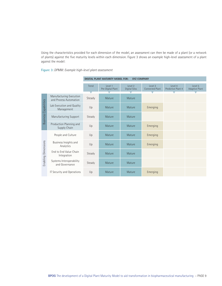Using the characteristics provided for each dimension of the model, an assessment can then be made of a plant (or a network of plants) against the five maturity levels within each dimension. Figure 3 shows an example high-level assessment of a plant against the model:

**Figure 3:** *DPMM: Example high-level plant assessment*

|                                 |                                                   | <b>DIGITAL PLANT MATURITY MODEL FOR:</b><br><b>XYZ COMPANY</b> |                              |                                 |                                   |                               |                           |  |
|---------------------------------|---------------------------------------------------|----------------------------------------------------------------|------------------------------|---------------------------------|-----------------------------------|-------------------------------|---------------------------|--|
|                                 |                                                   | Trend                                                          | Level 1<br>Pre-Digital Plant | Level 2<br><b>Digital Silos</b> | Level 3<br><b>Connected Plant</b> | level 4<br>Predictive Plant 4 | Level 5<br>Adaptive Plant |  |
| Capabilities<br><b>Business</b> | Manufacturing Execution<br>and Process Automation | Steady                                                         | Mature                       | Mature                          |                                   |                               |                           |  |
|                                 | Lab Execution and Quality<br>Management           | Up                                                             | Mature                       | Mature                          | Emerging                          |                               |                           |  |
|                                 | Manufacturing Support                             | Steady                                                         | Mature                       | Mature                          |                                   |                               |                           |  |
|                                 | Production Planning and<br>Supply Chain           | Up                                                             | Mature                       | Mature                          | Emerging                          |                               |                           |  |
| Dimensions<br>Enabling I        | People and Culture                                | Up                                                             | Mature                       | Mature                          | Emerging                          |                               |                           |  |
|                                 | Business Insights and<br>Analytics                | Up                                                             | Mature                       | Mature                          | Emerging                          |                               |                           |  |
|                                 | End to End Value Chain<br>Integration             | Steady                                                         | Mature                       | Mature                          |                                   |                               |                           |  |
|                                 | Systems Interoperability<br>and Governance        | Steady                                                         | Mature                       | Mature                          |                                   |                               |                           |  |
|                                 | IT Security and Operations                        | Up                                                             | Mature                       | Mature                          | Emerging                          |                               |                           |  |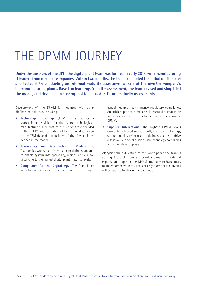# THE DPMM JOURNEY

**Under the auspices of the BPIT, the digital plant team was formed in early 2016 with manufacturing IT leaders from member companies. Within two months, the team completed the initial draft model and tested it by conducting an informal maturity assessment at one of the member company's biomanufacturing plants. Based on learnings from the assessment, the team revised and simplified the model, and developed a scoring tool to be used in future maturity assessments.**

Development of the DPMM is integrated with other BioPhorum initiatives, including:

- **• Technology Roadmap (TRM):** This defines a shared industry vision for the future of biologicals manufacturing. Elements of this vision are embedded in the DPMM and realization of the future state vision in the TRM depends on delivery of the IT capabilities defined in the model.
- **• Taxonomies and Data Reference Models:** The Taxonomies workstream is working to define standards to enable system interoperability, which is crucial for advancing to the highest digital plant maturity levels.
- **• Compliance for the Digital Age:** The Compliance workstream operates at the intersection of emerging IT

capabilities and health agency regulatory compliance. An efficient path to compliance is essential to enable the innovations required for the higher maturity levels in the DPMM.

**• Supplier Interactions:** The highest DPMM levels cannot be achieved with currently available IT offerings, so the model is being used to define scenarios to drive discussion and collaboration with technology companies and innovative suppliers.

Alongside the publication of this white paper, the team is seeking feedback from additional internal and external experts, and applying the DPMM internally to benchmark member company plants. The learnings from these activities will be used to further refine the model.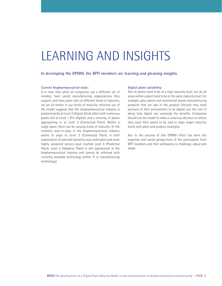## LEARNING AND INSIGHTS

### **In developing the DPMM, the BPIT members are learning and gleaning insights.**

#### **Current biopharmaceutical state:**

It is clear that while all companies use a different set of vendors, have varied manufacturing organizations they support, and have plant sites at different levels of maturity, we are all similar in our levels of maturity. Informal use of the model suggests that the biopharmaceutical industry is predominantly at Level 2 (Digital Silos), albeit with numerous plants still at Level 1 (Pre-Digital), and a minority of plants approaching or at Level 3 (Connected Plant). Within a single plant, there can be varying levels of maturity. At the moment, best-in-class in the biopharmaceutical industry seems to align to Level 3 (Connected Plant). A brief examination of selected industries was undertaken and some highly advanced sectors have reached Level 4 (Predictive Plant). Level 5 (Adaptive Plant) is still aspirational in the biopharmaceutical industry and cannot be achieved with currently available technology (either IT or manufacturing technology).

#### **Digital plant variability:**

Not all plants need to be at a high maturity level, nor do all areas within a plant need to be at the same maturity level. For example, pilot plants and commercial plants manufacturing products that are late in the product lifecycle may need portions of their environment to be digital, but the cost of being fully digital can outweigh the benefits. Companies should use the model to make a conscious decision on where they need their plants to be, and to align target maturity levels with plant and product strategies.

Key to the success of this DPMM effort has been the expertise and varied perspectives of the participants from BPIT members and their willingness to challenge, adjust and adapt.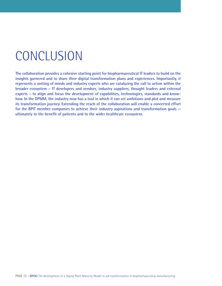# **CONCLUSION**

**The collaboration provides a cohesive starting point for biopharmaceutical IT leaders to build on the insights garnered and to share their digital transformation plans and experiences. Importantly, it represents a uniting of minds and industry experts who are catalyzing the call to action within the broader ecosystem – IT developers and vendors, industry suppliers, thought leaders and external experts – to align and focus the development of capabilities, technologies, standards and knowhow. In the DPMM, the industry now has a tool in which it can set ambitions and plot and measure its transformation journey. Extending the reach of the collaboration will enable a concerted effort for the BPIT member companies to achieve their industry aspirations and transformation goals ultimately to the benefit of patients and to the wider healthcare ecosystem.**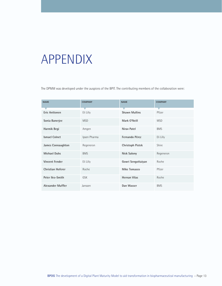# APPENDIX

The DPMM was developed under the auspices of the BPIT. The contributing members of the collaboration were:

| <b>NAME</b>              | <b>COMPANY</b> | <b>NAME</b>             | <b>COMPANY</b> |
|--------------------------|----------------|-------------------------|----------------|
| <b>Eric Anttonen</b>     | Eli Lilly      | <b>Shawn Mullins</b>    | Pfizer         |
| Sonia Banerjee           | <b>MSD</b>     | Mark O'Neill            | <b>MSD</b>     |
| Harmik Begi              | Amgen          | Nirav Patel             | <b>BMS</b>     |
| <b>Ismael Colnet</b>     | Ipsen Pharma   | Fernando Pérez          | Eli Lilly      |
| James Connaughton        | Regeneron      | <b>Christoph Pistek</b> | Shire          |
| <b>Michael Dubs</b>      | <b>BMS</b>     | <b>Nick Salony</b>      | Regeneron      |
| <b>Vincent Fender</b>    | Eli Lilly      | Gowri Sengottaiyan      | Roche          |
| <b>Christian Hoferer</b> | Roche          | Mike Tomasco            | Pfizer         |
| Peter Iles-Smith         | <b>GSK</b>     | <b>Hernan Vilas</b>     | Roche          |
| <b>Alexander Muffler</b> | Janssen        | Dan Wasser              | <b>BMS</b>     |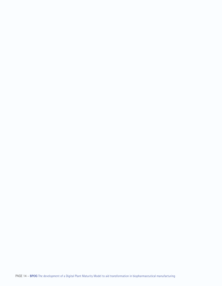PAGE 14 – **BPOG** The development of a Digital Plant Maturity Model to aid transformation in biopharmaceutical manufacturing